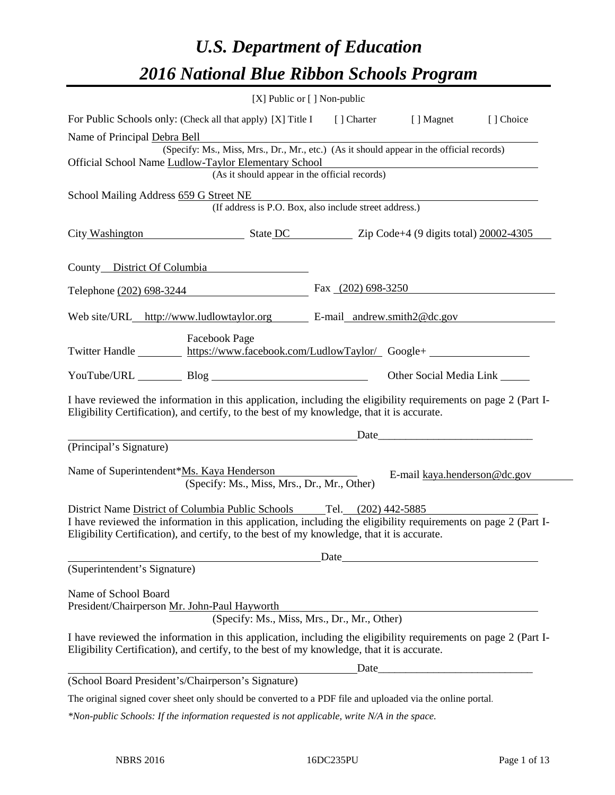# *U.S. Department of Education 2016 National Blue Ribbon Schools Program*

|                                                                                                                                                                                                              | [X] Public or $[$ ] Non-public                         |      |                                                                                                                      |           |
|--------------------------------------------------------------------------------------------------------------------------------------------------------------------------------------------------------------|--------------------------------------------------------|------|----------------------------------------------------------------------------------------------------------------------|-----------|
| For Public Schools only: (Check all that apply) [X] Title I [] Charter [] Magnet                                                                                                                             |                                                        |      |                                                                                                                      | [] Choice |
| Name of Principal Debra Bell                                                                                                                                                                                 |                                                        |      |                                                                                                                      |           |
| (Specify: Ms., Miss, Mrs., Dr., Mr., etc.) (As it should appear in the official records)                                                                                                                     |                                                        |      |                                                                                                                      |           |
| Official School Name Ludlow-Taylor Elementary School                                                                                                                                                         |                                                        |      | <u> 1989 - Johann Barn, amerikan besteman besteman besteman besteman besteman besteman besteman besteman bestema</u> |           |
|                                                                                                                                                                                                              | (As it should appear in the official records)          |      |                                                                                                                      |           |
| School Mailing Address 659 G Street NE                                                                                                                                                                       | (If address is P.O. Box, also include street address.) |      |                                                                                                                      |           |
|                                                                                                                                                                                                              |                                                        |      |                                                                                                                      |           |
| City Washington State DC Zip Code+4 (9 digits total) 20002-4305                                                                                                                                              |                                                        |      |                                                                                                                      |           |
| County District Of Columbia                                                                                                                                                                                  |                                                        |      |                                                                                                                      |           |
| Telephone (202) 698-3244                                                                                                                                                                                     |                                                        |      | Fax $(202)$ 698-3250                                                                                                 |           |
|                                                                                                                                                                                                              |                                                        |      |                                                                                                                      |           |
| Web site/URL http://www.ludlowtaylor.org E-mail andrew.smith2@dc.gov                                                                                                                                         |                                                        |      |                                                                                                                      |           |
| <b>Facebook Page</b><br>Twitter Handle https://www.facebook.com/LudlowTaylor/ Google+                                                                                                                        |                                                        |      |                                                                                                                      |           |
| YouTube/URL Blog                                                                                                                                                                                             |                                                        |      |                                                                                                                      |           |
| I have reviewed the information in this application, including the eligibility requirements on page 2 (Part I-<br>Eligibility Certification), and certify, to the best of my knowledge, that it is accurate. |                                                        |      |                                                                                                                      |           |
|                                                                                                                                                                                                              | <u>Date</u> <b>Date</b> <u>Date</u> <u>Date</u>        |      |                                                                                                                      |           |
| (Principal's Signature)                                                                                                                                                                                      |                                                        |      |                                                                                                                      |           |
| Name of Superintendent*Ms. Kaya Henderson                                                                                                                                                                    | (Specify: Ms., Miss, Mrs., Dr., Mr., Other)            |      | E-mail kaya.henderson@dc.gov                                                                                         |           |
| District Name District of Columbia Public Schools Tel. (202) 442-5885                                                                                                                                        |                                                        |      |                                                                                                                      |           |
| I have reviewed the information in this application, including the eligibility requirements on page 2 (Part I-                                                                                               |                                                        |      |                                                                                                                      |           |
| Eligibility Certification), and certify, to the best of my knowledge, that it is accurate.                                                                                                                   |                                                        |      |                                                                                                                      |           |
|                                                                                                                                                                                                              |                                                        | Date |                                                                                                                      |           |
| (Superintendent's Signature)                                                                                                                                                                                 |                                                        |      |                                                                                                                      |           |
|                                                                                                                                                                                                              |                                                        |      |                                                                                                                      |           |
| Name of School Board                                                                                                                                                                                         |                                                        |      |                                                                                                                      |           |
| President/Chairperson Mr. John-Paul Hayworth                                                                                                                                                                 | (Specify: Ms., Miss, Mrs., Dr., Mr., Other)            |      |                                                                                                                      |           |
|                                                                                                                                                                                                              |                                                        |      |                                                                                                                      |           |
| I have reviewed the information in this application, including the eligibility requirements on page 2 (Part I-<br>Eligibility Certification), and certify, to the best of my knowledge, that it is accurate. |                                                        |      |                                                                                                                      |           |
|                                                                                                                                                                                                              |                                                        |      |                                                                                                                      |           |
| (School Board President's/Chairperson's Signature)                                                                                                                                                           |                                                        |      |                                                                                                                      |           |
| The original signed cover sheet only should be converted to a PDF file and uploaded via the online portal.                                                                                                   |                                                        |      |                                                                                                                      |           |
| *Non-public Schools: If the information requested is not applicable, write N/A in the space.                                                                                                                 |                                                        |      |                                                                                                                      |           |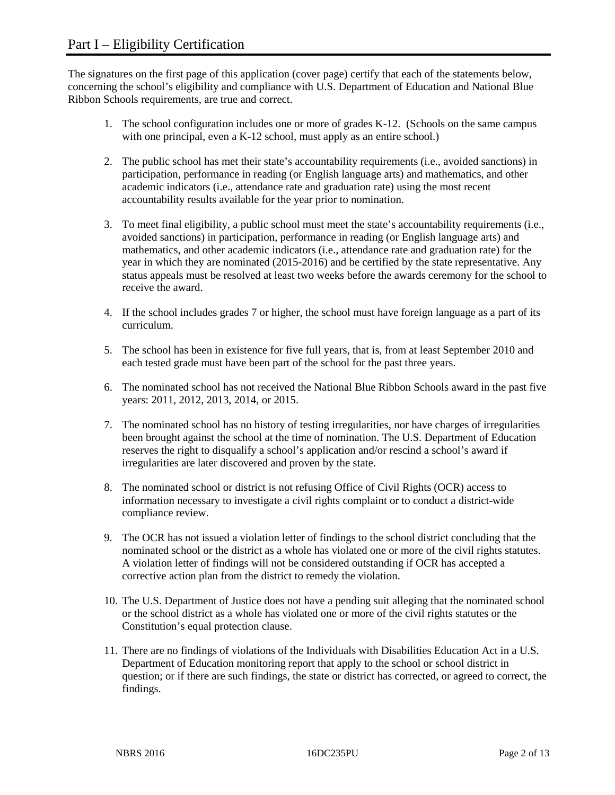The signatures on the first page of this application (cover page) certify that each of the statements below, concerning the school's eligibility and compliance with U.S. Department of Education and National Blue Ribbon Schools requirements, are true and correct.

- 1. The school configuration includes one or more of grades K-12. (Schools on the same campus with one principal, even a K-12 school, must apply as an entire school.)
- 2. The public school has met their state's accountability requirements (i.e., avoided sanctions) in participation, performance in reading (or English language arts) and mathematics, and other academic indicators (i.e., attendance rate and graduation rate) using the most recent accountability results available for the year prior to nomination.
- 3. To meet final eligibility, a public school must meet the state's accountability requirements (i.e., avoided sanctions) in participation, performance in reading (or English language arts) and mathematics, and other academic indicators (i.e., attendance rate and graduation rate) for the year in which they are nominated (2015-2016) and be certified by the state representative. Any status appeals must be resolved at least two weeks before the awards ceremony for the school to receive the award.
- 4. If the school includes grades 7 or higher, the school must have foreign language as a part of its curriculum.
- 5. The school has been in existence for five full years, that is, from at least September 2010 and each tested grade must have been part of the school for the past three years.
- 6. The nominated school has not received the National Blue Ribbon Schools award in the past five years: 2011, 2012, 2013, 2014, or 2015.
- 7. The nominated school has no history of testing irregularities, nor have charges of irregularities been brought against the school at the time of nomination. The U.S. Department of Education reserves the right to disqualify a school's application and/or rescind a school's award if irregularities are later discovered and proven by the state.
- 8. The nominated school or district is not refusing Office of Civil Rights (OCR) access to information necessary to investigate a civil rights complaint or to conduct a district-wide compliance review.
- 9. The OCR has not issued a violation letter of findings to the school district concluding that the nominated school or the district as a whole has violated one or more of the civil rights statutes. A violation letter of findings will not be considered outstanding if OCR has accepted a corrective action plan from the district to remedy the violation.
- 10. The U.S. Department of Justice does not have a pending suit alleging that the nominated school or the school district as a whole has violated one or more of the civil rights statutes or the Constitution's equal protection clause.
- 11. There are no findings of violations of the Individuals with Disabilities Education Act in a U.S. Department of Education monitoring report that apply to the school or school district in question; or if there are such findings, the state or district has corrected, or agreed to correct, the findings.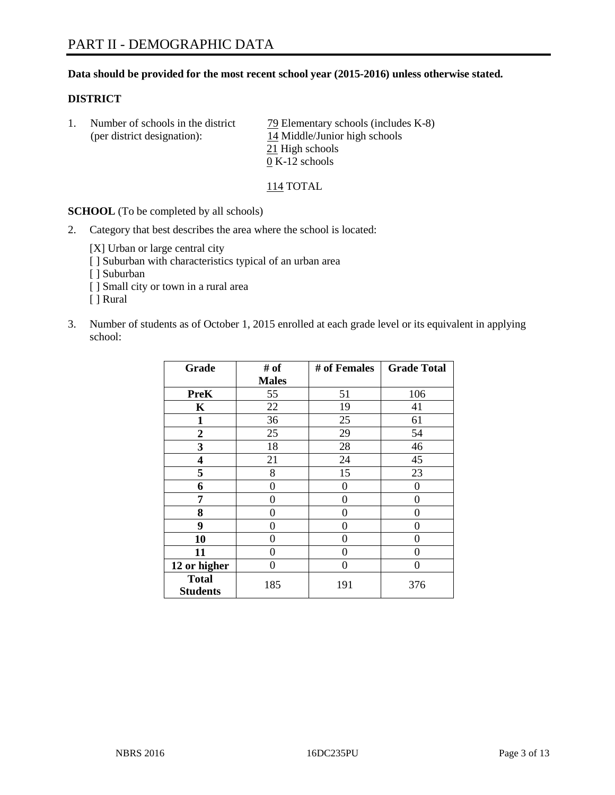#### **Data should be provided for the most recent school year (2015-2016) unless otherwise stated.**

#### **DISTRICT**

1. Number of schools in the district  $\frac{79}{2}$  Elementary schools (includes K-8) (per district designation): 14 Middle/Junior high schools 21 High schools  $\overline{0}$  K-12 schools

# 114 TOTAL

**SCHOOL** (To be completed by all schools)

2. Category that best describes the area where the school is located:

[X] Urban or large central city [ ] Suburban with characteristics typical of an urban area [ ] Suburban [ ] Small city or town in a rural area [ ] Rural

3. Number of students as of October 1, 2015 enrolled at each grade level or its equivalent in applying school:

| Grade                           | # of         | # of Females | <b>Grade Total</b> |
|---------------------------------|--------------|--------------|--------------------|
|                                 | <b>Males</b> |              |                    |
| <b>PreK</b>                     | 55           | 51           | 106                |
| K                               | 22           | 19           | 41                 |
| 1                               | 36           | 25           | 61                 |
| $\overline{2}$                  | 25           | 29           | 54                 |
| 3                               | 18           | 28           | 46                 |
| 4                               | 21           | 24           | 45                 |
| 5                               | 8            | 15           | 23                 |
| 6                               | 0            | 0            | $\Omega$           |
| 7                               | 0            | 0            | 0                  |
| 8                               | 0            | 0            | 0                  |
| 9                               | 0            | 0            | 0                  |
| 10                              | 0            | 0            | 0                  |
| 11                              | 0            | 0            | $\Omega$           |
| 12 or higher                    | 0            | 0            | 0                  |
| <b>Total</b><br><b>Students</b> | 185          | 191          | 376                |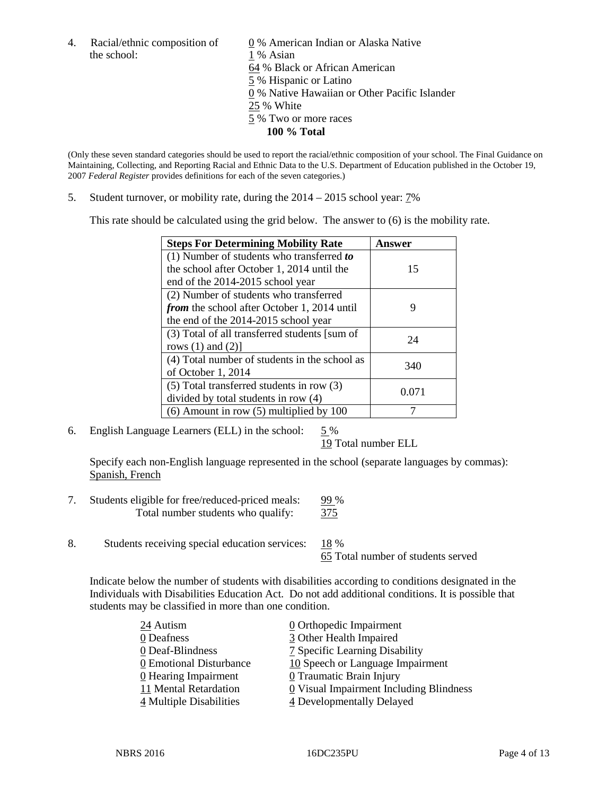the school: 1 % Asian

4. Racial/ethnic composition of  $\qquad \qquad \underline{0}$  % American Indian or Alaska Native 64 % Black or African American 5 % Hispanic or Latino 0 % Native Hawaiian or Other Pacific Islander 25 % White 5 % Two or more races **100 % Total**

(Only these seven standard categories should be used to report the racial/ethnic composition of your school. The Final Guidance on Maintaining, Collecting, and Reporting Racial and Ethnic Data to the U.S. Department of Education published in the October 19, 2007 *Federal Register* provides definitions for each of the seven categories.)

5. Student turnover, or mobility rate, during the  $2014 - 2015$  school year:  $7\%$ 

This rate should be calculated using the grid below. The answer to (6) is the mobility rate.

| <b>Steps For Determining Mobility Rate</b>         | Answer |  |
|----------------------------------------------------|--------|--|
| (1) Number of students who transferred to          |        |  |
| the school after October 1, 2014 until the         | 15     |  |
| end of the 2014-2015 school year                   |        |  |
| (2) Number of students who transferred             |        |  |
| <i>from</i> the school after October 1, 2014 until | 9      |  |
| the end of the 2014-2015 school year               |        |  |
| (3) Total of all transferred students [sum of      | 24     |  |
| rows $(1)$ and $(2)$ ]                             |        |  |
| (4) Total number of students in the school as      | 340    |  |
| of October 1, 2014                                 |        |  |
| (5) Total transferred students in row (3)          | 0.071  |  |
| divided by total students in row (4)               |        |  |
| $(6)$ Amount in row $(5)$ multiplied by 100        |        |  |

6. English Language Learners (ELL) in the school:  $5\%$ 

19 Total number ELL

Specify each non-English language represented in the school (separate languages by commas): Spanish, French

- 7. Students eligible for free/reduced-priced meals: 99 % Total number students who qualify:  $\frac{375}{375}$
- 8. Students receiving special education services: 18 %

65 Total number of students served

Indicate below the number of students with disabilities according to conditions designated in the Individuals with Disabilities Education Act. Do not add additional conditions. It is possible that students may be classified in more than one condition.

| 24 Autism                           | 0 Orthopedic Impairment                 |
|-------------------------------------|-----------------------------------------|
| 0 Deafness                          | 3 Other Health Impaired                 |
| 0 Deaf-Blindness                    | 7 Specific Learning Disability          |
| 0 Emotional Disturbance             | 10 Speech or Language Impairment        |
| 0 Hearing Impairment                | 0 Traumatic Brain Injury                |
| 11 Mental Retardation               | 0 Visual Impairment Including Blindness |
| $\frac{4}{5}$ Multiple Disabilities | 4 Developmentally Delayed               |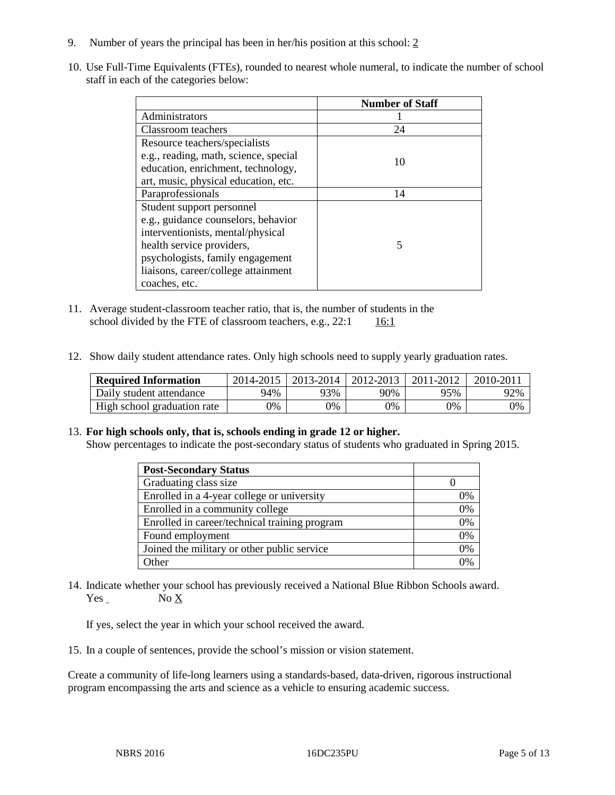- 9. Number of years the principal has been in her/his position at this school: 2
- 10. Use Full-Time Equivalents (FTEs), rounded to nearest whole numeral, to indicate the number of school staff in each of the categories below:

|                                       | <b>Number of Staff</b> |
|---------------------------------------|------------------------|
| Administrators                        |                        |
| Classroom teachers                    | 24                     |
| Resource teachers/specialists         |                        |
| e.g., reading, math, science, special | 10                     |
| education, enrichment, technology,    |                        |
| art, music, physical education, etc.  |                        |
| Paraprofessionals                     | 14                     |
| Student support personnel             |                        |
| e.g., guidance counselors, behavior   |                        |
| interventionists, mental/physical     |                        |
| health service providers,             | 5                      |
| psychologists, family engagement      |                        |
| liaisons, career/college attainment   |                        |
| coaches, etc.                         |                        |

- 11. Average student-classroom teacher ratio, that is, the number of students in the school divided by the FTE of classroom teachers, e.g.,  $22:1$  16:1
- 12. Show daily student attendance rates. Only high schools need to supply yearly graduation rates.

| <b>Required Information</b> | 2014-2015 | 2013-2014 | 2012-2013 | 2011-2012 | 2010-2011 |
|-----------------------------|-----------|-----------|-----------|-----------|-----------|
| Daily student attendance    | 94%       | 93%       | 90%       | 95%       | 92%       |
| High school graduation rate | 9%        | 0%        | 0%        | 9%        | 0%        |

#### 13. **For high schools only, that is, schools ending in grade 12 or higher.**

Show percentages to indicate the post-secondary status of students who graduated in Spring 2015.

| <b>Post-Secondary Status</b>                  |                |
|-----------------------------------------------|----------------|
| Graduating class size                         |                |
| Enrolled in a 4-year college or university    | 0%             |
| Enrolled in a community college               | 0%             |
| Enrolled in career/technical training program | 0%             |
| Found employment                              | 0%             |
| Joined the military or other public service   | 0%             |
| Other                                         | $\frac{10}{4}$ |

14. Indicate whether your school has previously received a National Blue Ribbon Schools award. Yes No X

If yes, select the year in which your school received the award.

15. In a couple of sentences, provide the school's mission or vision statement.

Create a community of life-long learners using a standards-based, data-driven, rigorous instructional program encompassing the arts and science as a vehicle to ensuring academic success.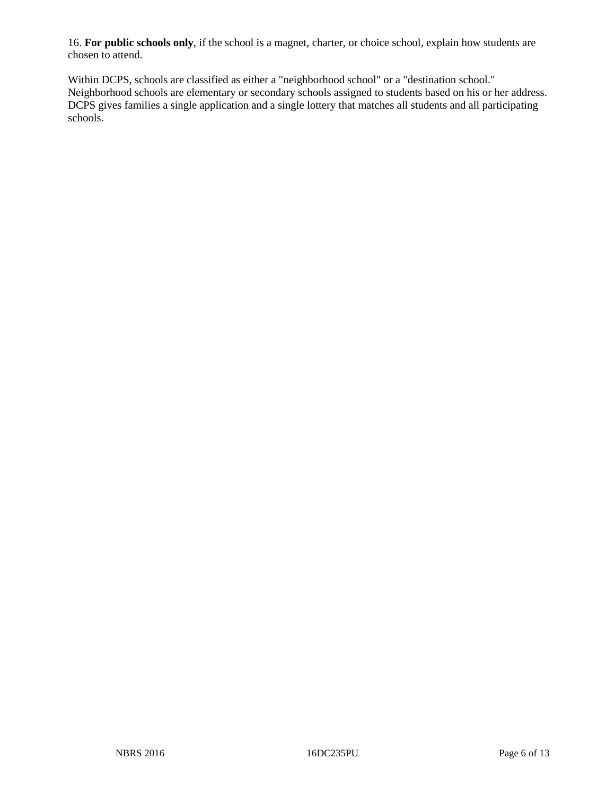16. **For public schools only**, if the school is a magnet, charter, or choice school, explain how students are chosen to attend.

Within DCPS, schools are classified as either a "neighborhood school" or a "destination school." Neighborhood schools are elementary or secondary schools assigned to students based on his or her address. DCPS gives families a single application and a single lottery that matches all students and all participating schools.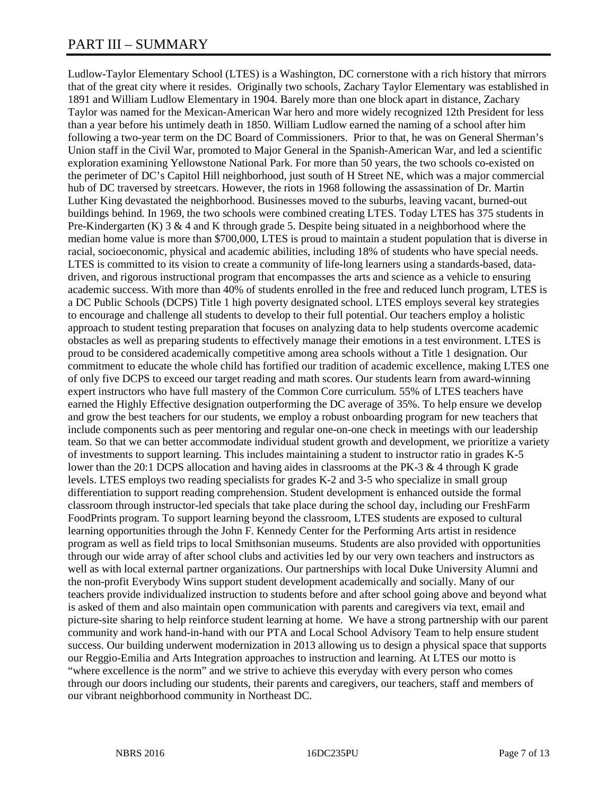# PART III – SUMMARY

Ludlow-Taylor Elementary School (LTES) is a Washington, DC cornerstone with a rich history that mirrors that of the great city where it resides. Originally two schools, Zachary Taylor Elementary was established in 1891 and William Ludlow Elementary in 1904. Barely more than one block apart in distance, Zachary Taylor was named for the Mexican-American War hero and more widely recognized 12th President for less than a year before his untimely death in 1850. William Ludlow earned the naming of a school after him following a two-year term on the DC Board of Commissioners. Prior to that, he was on General Sherman's Union staff in the Civil War, promoted to Major General in the Spanish-American War, and led a scientific exploration examining Yellowstone National Park. For more than 50 years, the two schools co-existed on the perimeter of DC's Capitol Hill neighborhood, just south of H Street NE, which was a major commercial hub of DC traversed by streetcars. However, the riots in 1968 following the assassination of Dr. Martin Luther King devastated the neighborhood. Businesses moved to the suburbs, leaving vacant, burned-out buildings behind. In 1969, the two schools were combined creating LTES. Today LTES has 375 students in Pre-Kindergarten (K)  $3 \& 4$  and K through grade 5. Despite being situated in a neighborhood where the median home value is more than \$700,000, LTES is proud to maintain a student population that is diverse in racial, socioeconomic, physical and academic abilities, including 18% of students who have special needs. LTES is committed to its vision to create a community of life-long learners using a standards-based, datadriven, and rigorous instructional program that encompasses the arts and science as a vehicle to ensuring academic success. With more than 40% of students enrolled in the free and reduced lunch program, LTES is a DC Public Schools (DCPS) Title 1 high poverty designated school. LTES employs several key strategies to encourage and challenge all students to develop to their full potential. Our teachers employ a holistic approach to student testing preparation that focuses on analyzing data to help students overcome academic obstacles as well as preparing students to effectively manage their emotions in a test environment. LTES is proud to be considered academically competitive among area schools without a Title 1 designation. Our commitment to educate the whole child has fortified our tradition of academic excellence, making LTES one of only five DCPS to exceed our target reading and math scores. Our students learn from award-winning expert instructors who have full mastery of the Common Core curriculum. 55% of LTES teachers have earned the Highly Effective designation outperforming the DC average of 35%. To help ensure we develop and grow the best teachers for our students, we employ a robust onboarding program for new teachers that include components such as peer mentoring and regular one-on-one check in meetings with our leadership team. So that we can better accommodate individual student growth and development, we prioritize a variety of investments to support learning. This includes maintaining a student to instructor ratio in grades K-5 lower than the 20:1 DCPS allocation and having aides in classrooms at the PK-3  $\&$  4 through K grade levels. LTES employs two reading specialists for grades K-2 and 3-5 who specialize in small group differentiation to support reading comprehension. Student development is enhanced outside the formal classroom through instructor-led specials that take place during the school day, including our FreshFarm FoodPrints program. To support learning beyond the classroom, LTES students are exposed to cultural learning opportunities through the John F. Kennedy Center for the Performing Arts artist in residence program as well as field trips to local Smithsonian museums. Students are also provided with opportunities through our wide array of after school clubs and activities led by our very own teachers and instructors as well as with local external partner organizations. Our partnerships with local Duke University Alumni and the non-profit Everybody Wins support student development academically and socially. Many of our teachers provide individualized instruction to students before and after school going above and beyond what is asked of them and also maintain open communication with parents and caregivers via text, email and picture-site sharing to help reinforce student learning at home. We have a strong partnership with our parent community and work hand-in-hand with our PTA and Local School Advisory Team to help ensure student success. Our building underwent modernization in 2013 allowing us to design a physical space that supports our Reggio-Emilia and Arts Integration approaches to instruction and learning. At LTES our motto is "where excellence is the norm" and we strive to achieve this everyday with every person who comes through our doors including our students, their parents and caregivers, our teachers, staff and members of our vibrant neighborhood community in Northeast DC.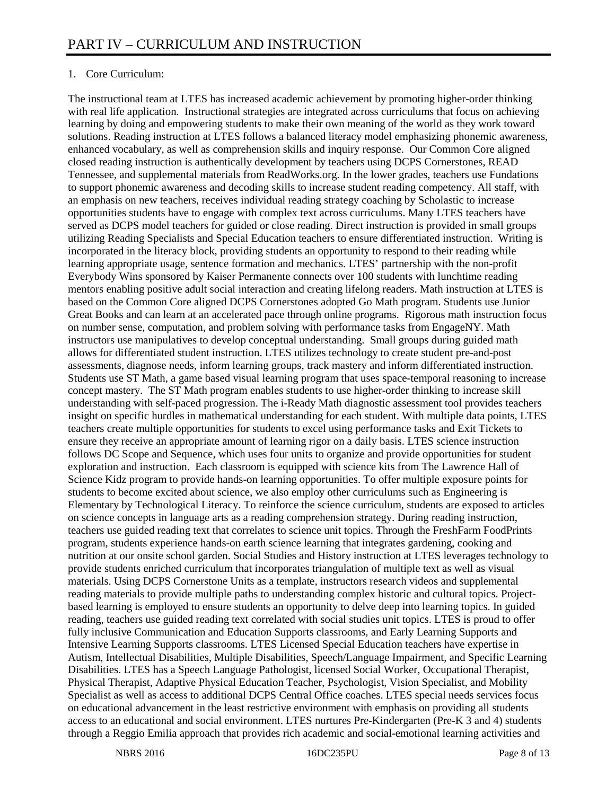# 1. Core Curriculum:

The instructional team at LTES has increased academic achievement by promoting higher-order thinking with real life application. Instructional strategies are integrated across curriculums that focus on achieving learning by doing and empowering students to make their own meaning of the world as they work toward solutions. Reading instruction at LTES follows a balanced literacy model emphasizing phonemic awareness, enhanced vocabulary, as well as comprehension skills and inquiry response. Our Common Core aligned closed reading instruction is authentically development by teachers using DCPS Cornerstones, READ Tennessee, and supplemental materials from ReadWorks.org. In the lower grades, teachers use Fundations to support phonemic awareness and decoding skills to increase student reading competency. All staff, with an emphasis on new teachers, receives individual reading strategy coaching by Scholastic to increase opportunities students have to engage with complex text across curriculums. Many LTES teachers have served as DCPS model teachers for guided or close reading. Direct instruction is provided in small groups utilizing Reading Specialists and Special Education teachers to ensure differentiated instruction. Writing is incorporated in the literacy block, providing students an opportunity to respond to their reading while learning appropriate usage, sentence formation and mechanics. LTES' partnership with the non-profit Everybody Wins sponsored by Kaiser Permanente connects over 100 students with lunchtime reading mentors enabling positive adult social interaction and creating lifelong readers. Math instruction at LTES is based on the Common Core aligned DCPS Cornerstones adopted Go Math program. Students use Junior Great Books and can learn at an accelerated pace through online programs. Rigorous math instruction focus on number sense, computation, and problem solving with performance tasks from EngageNY. Math instructors use manipulatives to develop conceptual understanding. Small groups during guided math allows for differentiated student instruction. LTES utilizes technology to create student pre-and-post assessments, diagnose needs, inform learning groups, track mastery and inform differentiated instruction. Students use ST Math, a game based visual learning program that uses space-temporal reasoning to increase concept mastery. The ST Math program enables students to use higher-order thinking to increase skill understanding with self-paced progression. The i-Ready Math diagnostic assessment tool provides teachers insight on specific hurdles in mathematical understanding for each student. With multiple data points, LTES teachers create multiple opportunities for students to excel using performance tasks and Exit Tickets to ensure they receive an appropriate amount of learning rigor on a daily basis. LTES science instruction follows DC Scope and Sequence, which uses four units to organize and provide opportunities for student exploration and instruction. Each classroom is equipped with science kits from The Lawrence Hall of Science Kidz program to provide hands-on learning opportunities. To offer multiple exposure points for students to become excited about science, we also employ other curriculums such as Engineering is Elementary by Technological Literacy. To reinforce the science curriculum, students are exposed to articles on science concepts in language arts as a reading comprehension strategy. During reading instruction, teachers use guided reading text that correlates to science unit topics. Through the FreshFarm FoodPrints program, students experience hands-on earth science learning that integrates gardening, cooking and nutrition at our onsite school garden. Social Studies and History instruction at LTES leverages technology to provide students enriched curriculum that incorporates triangulation of multiple text as well as visual materials. Using DCPS Cornerstone Units as a template, instructors research videos and supplemental reading materials to provide multiple paths to understanding complex historic and cultural topics. Projectbased learning is employed to ensure students an opportunity to delve deep into learning topics. In guided reading, teachers use guided reading text correlated with social studies unit topics. LTES is proud to offer fully inclusive Communication and Education Supports classrooms, and Early Learning Supports and Intensive Learning Supports classrooms. LTES Licensed Special Education teachers have expertise in Autism, Intellectual Disabilities, Multiple Disabilities, Speech/Language Impairment, and Specific Learning Disabilities. LTES has a Speech Language Pathologist, licensed Social Worker, Occupational Therapist, Physical Therapist, Adaptive Physical Education Teacher, Psychologist, Vision Specialist, and Mobility Specialist as well as access to additional DCPS Central Office coaches. LTES special needs services focus on educational advancement in the least restrictive environment with emphasis on providing all students access to an educational and social environment. LTES nurtures Pre-Kindergarten (Pre-K 3 and 4) students through a Reggio Emilia approach that provides rich academic and social-emotional learning activities and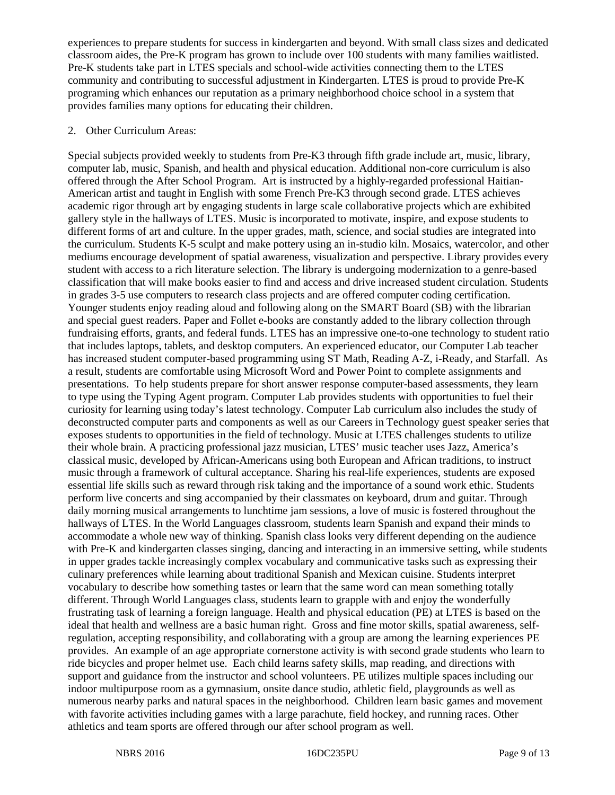experiences to prepare students for success in kindergarten and beyond. With small class sizes and dedicated classroom aides, the Pre-K program has grown to include over 100 students with many families waitlisted. Pre-K students take part in LTES specials and school-wide activities connecting them to the LTES community and contributing to successful adjustment in Kindergarten. LTES is proud to provide Pre-K programing which enhances our reputation as a primary neighborhood choice school in a system that provides families many options for educating their children.

#### 2. Other Curriculum Areas:

Special subjects provided weekly to students from Pre-K3 through fifth grade include art, music, library, computer lab, music, Spanish, and health and physical education. Additional non-core curriculum is also offered through the After School Program. Art is instructed by a highly-regarded professional Haitian-American artist and taught in English with some French Pre-K3 through second grade. LTES achieves academic rigor through art by engaging students in large scale collaborative projects which are exhibited gallery style in the hallways of LTES. Music is incorporated to motivate, inspire, and expose students to different forms of art and culture. In the upper grades, math, science, and social studies are integrated into the curriculum. Students K-5 sculpt and make pottery using an in-studio kiln. Mosaics, watercolor, and other mediums encourage development of spatial awareness, visualization and perspective. Library provides every student with access to a rich literature selection. The library is undergoing modernization to a genre-based classification that will make books easier to find and access and drive increased student circulation. Students in grades 3-5 use computers to research class projects and are offered computer coding certification. Younger students enjoy reading aloud and following along on the SMART Board (SB) with the librarian and special guest readers. Paper and Follet e-books are constantly added to the library collection through fundraising efforts, grants, and federal funds. LTES has an impressive one-to-one technology to student ratio that includes laptops, tablets, and desktop computers. An experienced educator, our Computer Lab teacher has increased student computer-based programming using ST Math, Reading A-Z, i-Ready, and Starfall. As a result, students are comfortable using Microsoft Word and Power Point to complete assignments and presentations. To help students prepare for short answer response computer-based assessments, they learn to type using the Typing Agent program. Computer Lab provides students with opportunities to fuel their curiosity for learning using today's latest technology. Computer Lab curriculum also includes the study of deconstructed computer parts and components as well as our Careers in Technology guest speaker series that exposes students to opportunities in the field of technology. Music at LTES challenges students to utilize their whole brain. A practicing professional jazz musician, LTES' music teacher uses Jazz, America's classical music, developed by African-Americans using both European and African traditions, to instruct music through a framework of cultural acceptance. Sharing his real-life experiences, students are exposed essential life skills such as reward through risk taking and the importance of a sound work ethic. Students perform live concerts and sing accompanied by their classmates on keyboard, drum and guitar. Through daily morning musical arrangements to lunchtime jam sessions, a love of music is fostered throughout the hallways of LTES. In the World Languages classroom, students learn Spanish and expand their minds to accommodate a whole new way of thinking. Spanish class looks very different depending on the audience with Pre-K and kindergarten classes singing, dancing and interacting in an immersive setting, while students in upper grades tackle increasingly complex vocabulary and communicative tasks such as expressing their culinary preferences while learning about traditional Spanish and Mexican cuisine. Students interpret vocabulary to describe how something tastes or learn that the same word can mean something totally different. Through World Languages class, students learn to grapple with and enjoy the wonderfully frustrating task of learning a foreign language. Health and physical education (PE) at LTES is based on the ideal that health and wellness are a basic human right. Gross and fine motor skills, spatial awareness, selfregulation, accepting responsibility, and collaborating with a group are among the learning experiences PE provides. An example of an age appropriate cornerstone activity is with second grade students who learn to ride bicycles and proper helmet use. Each child learns safety skills, map reading, and directions with support and guidance from the instructor and school volunteers. PE utilizes multiple spaces including our indoor multipurpose room as a gymnasium, onsite dance studio, athletic field, playgrounds as well as numerous nearby parks and natural spaces in the neighborhood. Children learn basic games and movement with favorite activities including games with a large parachute, field hockey, and running races. Other athletics and team sports are offered through our after school program as well.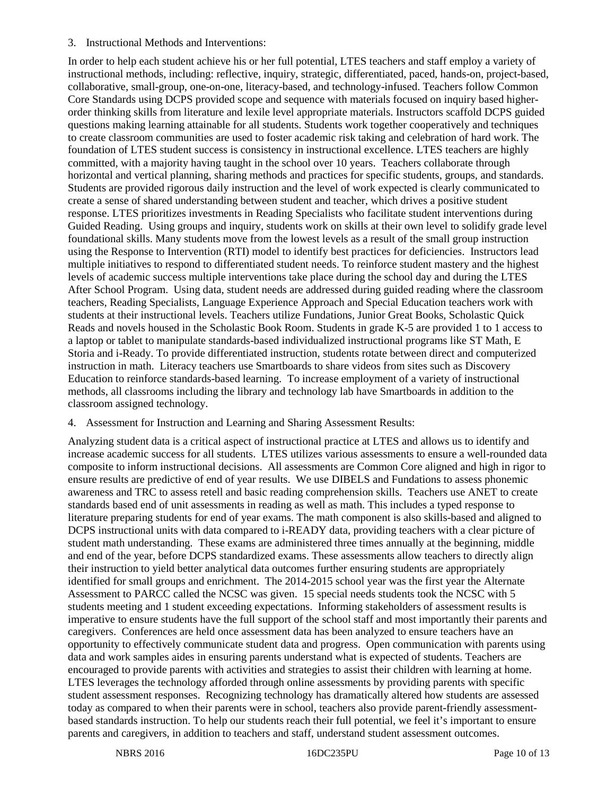#### 3. Instructional Methods and Interventions:

In order to help each student achieve his or her full potential, LTES teachers and staff employ a variety of instructional methods, including: reflective, inquiry, strategic, differentiated, paced, hands-on, project-based, collaborative, small-group, one-on-one, literacy-based, and technology-infused. Teachers follow Common Core Standards using DCPS provided scope and sequence with materials focused on inquiry based higherorder thinking skills from literature and lexile level appropriate materials. Instructors scaffold DCPS guided questions making learning attainable for all students. Students work together cooperatively and techniques to create classroom communities are used to foster academic risk taking and celebration of hard work. The foundation of LTES student success is consistency in instructional excellence. LTES teachers are highly committed, with a majority having taught in the school over 10 years. Teachers collaborate through horizontal and vertical planning, sharing methods and practices for specific students, groups, and standards. Students are provided rigorous daily instruction and the level of work expected is clearly communicated to create a sense of shared understanding between student and teacher, which drives a positive student response. LTES prioritizes investments in Reading Specialists who facilitate student interventions during Guided Reading. Using groups and inquiry, students work on skills at their own level to solidify grade level foundational skills. Many students move from the lowest levels as a result of the small group instruction using the Response to Intervention (RTI) model to identify best practices for deficiencies. Instructors lead multiple initiatives to respond to differentiated student needs. To reinforce student mastery and the highest levels of academic success multiple interventions take place during the school day and during the LTES After School Program. Using data, student needs are addressed during guided reading where the classroom teachers, Reading Specialists, Language Experience Approach and Special Education teachers work with students at their instructional levels. Teachers utilize Fundations, Junior Great Books, Scholastic Quick Reads and novels housed in the Scholastic Book Room. Students in grade K-5 are provided 1 to 1 access to a laptop or tablet to manipulate standards-based individualized instructional programs like ST Math, E Storia and i-Ready. To provide differentiated instruction, students rotate between direct and computerized instruction in math. Literacy teachers use Smartboards to share videos from sites such as Discovery Education to reinforce standards-based learning. To increase employment of a variety of instructional methods, all classrooms including the library and technology lab have Smartboards in addition to the classroom assigned technology.

# 4. Assessment for Instruction and Learning and Sharing Assessment Results:

Analyzing student data is a critical aspect of instructional practice at LTES and allows us to identify and increase academic success for all students. LTES utilizes various assessments to ensure a well-rounded data composite to inform instructional decisions. All assessments are Common Core aligned and high in rigor to ensure results are predictive of end of year results. We use DIBELS and Fundations to assess phonemic awareness and TRC to assess retell and basic reading comprehension skills. Teachers use ANET to create standards based end of unit assessments in reading as well as math. This includes a typed response to literature preparing students for end of year exams. The math component is also skills-based and aligned to DCPS instructional units with data compared to i-READY data, providing teachers with a clear picture of student math understanding. These exams are administered three times annually at the beginning, middle and end of the year, before DCPS standardized exams. These assessments allow teachers to directly align their instruction to yield better analytical data outcomes further ensuring students are appropriately identified for small groups and enrichment. The 2014-2015 school year was the first year the Alternate Assessment to PARCC called the NCSC was given. 15 special needs students took the NCSC with 5 students meeting and 1 student exceeding expectations. Informing stakeholders of assessment results is imperative to ensure students have the full support of the school staff and most importantly their parents and caregivers. Conferences are held once assessment data has been analyzed to ensure teachers have an opportunity to effectively communicate student data and progress. Open communication with parents using data and work samples aides in ensuring parents understand what is expected of students. Teachers are encouraged to provide parents with activities and strategies to assist their children with learning at home. LTES leverages the technology afforded through online assessments by providing parents with specific student assessment responses. Recognizing technology has dramatically altered how students are assessed today as compared to when their parents were in school, teachers also provide parent-friendly assessmentbased standards instruction. To help our students reach their full potential, we feel it's important to ensure parents and caregivers, in addition to teachers and staff, understand student assessment outcomes.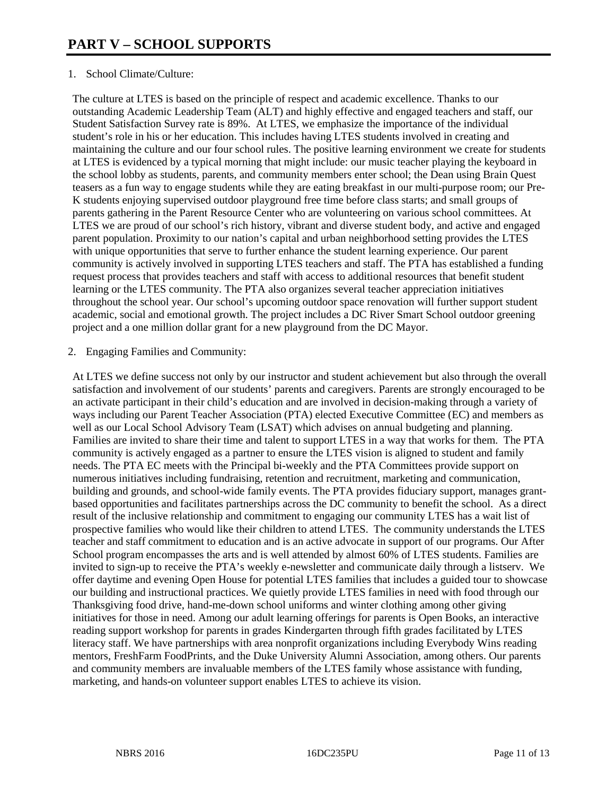# 1. School Climate/Culture:

The culture at LTES is based on the principle of respect and academic excellence. Thanks to our outstanding Academic Leadership Team (ALT) and highly effective and engaged teachers and staff, our Student Satisfaction Survey rate is 89%. At LTES, we emphasize the importance of the individual student's role in his or her education. This includes having LTES students involved in creating and maintaining the culture and our four school rules. The positive learning environment we create for students at LTES is evidenced by a typical morning that might include: our music teacher playing the keyboard in the school lobby as students, parents, and community members enter school; the Dean using Brain Quest teasers as a fun way to engage students while they are eating breakfast in our multi-purpose room; our Pre-K students enjoying supervised outdoor playground free time before class starts; and small groups of parents gathering in the Parent Resource Center who are volunteering on various school committees. At LTES we are proud of our school's rich history, vibrant and diverse student body, and active and engaged parent population. Proximity to our nation's capital and urban neighborhood setting provides the LTES with unique opportunities that serve to further enhance the student learning experience. Our parent community is actively involved in supporting LTES teachers and staff. The PTA has established a funding request process that provides teachers and staff with access to additional resources that benefit student learning or the LTES community. The PTA also organizes several teacher appreciation initiatives throughout the school year. Our school's upcoming outdoor space renovation will further support student academic, social and emotional growth. The project includes a DC River Smart School outdoor greening project and a one million dollar grant for a new playground from the DC Mayor.

#### 2. Engaging Families and Community:

At LTES we define success not only by our instructor and student achievement but also through the overall satisfaction and involvement of our students' parents and caregivers. Parents are strongly encouraged to be an activate participant in their child's education and are involved in decision-making through a variety of ways including our Parent Teacher Association (PTA) elected Executive Committee (EC) and members as well as our Local School Advisory Team (LSAT) which advises on annual budgeting and planning. Families are invited to share their time and talent to support LTES in a way that works for them. The PTA community is actively engaged as a partner to ensure the LTES vision is aligned to student and family needs. The PTA EC meets with the Principal bi-weekly and the PTA Committees provide support on numerous initiatives including fundraising, retention and recruitment, marketing and communication, building and grounds, and school-wide family events. The PTA provides fiduciary support, manages grantbased opportunities and facilitates partnerships across the DC community to benefit the school. As a direct result of the inclusive relationship and commitment to engaging our community LTES has a wait list of prospective families who would like their children to attend LTES. The community understands the LTES teacher and staff commitment to education and is an active advocate in support of our programs. Our After School program encompasses the arts and is well attended by almost 60% of LTES students. Families are invited to sign-up to receive the PTA's weekly e-newsletter and communicate daily through a listserv. We offer daytime and evening Open House for potential LTES families that includes a guided tour to showcase our building and instructional practices. We quietly provide LTES families in need with food through our Thanksgiving food drive, hand-me-down school uniforms and winter clothing among other giving initiatives for those in need. Among our adult learning offerings for parents is Open Books, an interactive reading support workshop for parents in grades Kindergarten through fifth grades facilitated by LTES literacy staff. We have partnerships with area nonprofit organizations including Everybody Wins reading mentors, FreshFarm FoodPrints, and the Duke University Alumni Association, among others. Our parents and community members are invaluable members of the LTES family whose assistance with funding, marketing, and hands-on volunteer support enables LTES to achieve its vision.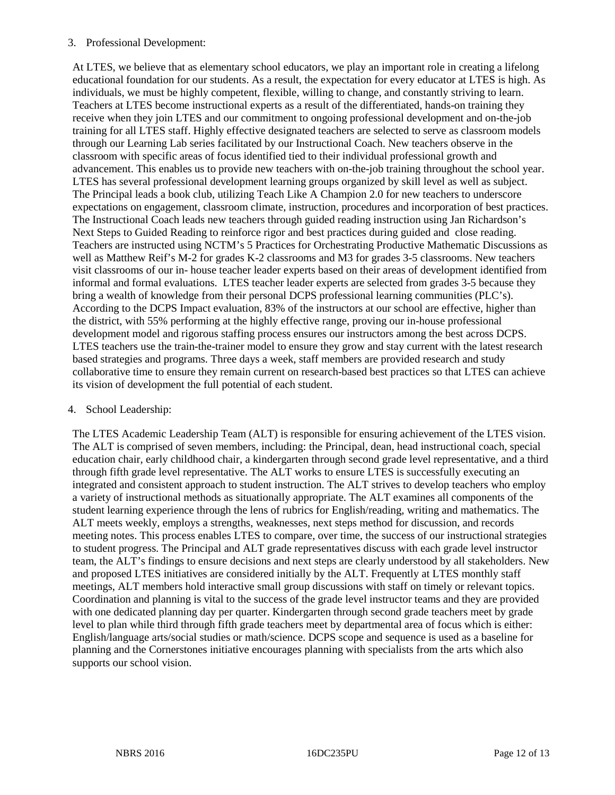#### 3. Professional Development:

At LTES, we believe that as elementary school educators, we play an important role in creating a lifelong educational foundation for our students. As a result, the expectation for every educator at LTES is high. As individuals, we must be highly competent, flexible, willing to change, and constantly striving to learn. Teachers at LTES become instructional experts as a result of the differentiated, hands-on training they receive when they join LTES and our commitment to ongoing professional development and on-the-job training for all LTES staff. Highly effective designated teachers are selected to serve as classroom models through our Learning Lab series facilitated by our Instructional Coach. New teachers observe in the classroom with specific areas of focus identified tied to their individual professional growth and advancement. This enables us to provide new teachers with on-the-job training throughout the school year. LTES has several professional development learning groups organized by skill level as well as subject. The Principal leads a book club, utilizing Teach Like A Champion 2.0 for new teachers to underscore expectations on engagement, classroom climate, instruction, procedures and incorporation of best practices. The Instructional Coach leads new teachers through guided reading instruction using Jan Richardson's Next Steps to Guided Reading to reinforce rigor and best practices during guided and close reading. Teachers are instructed using NCTM's 5 Practices for Orchestrating Productive Mathematic Discussions as well as Matthew Reif's M-2 for grades K-2 classrooms and M3 for grades 3-5 classrooms. New teachers visit classrooms of our in- house teacher leader experts based on their areas of development identified from informal and formal evaluations. LTES teacher leader experts are selected from grades 3-5 because they bring a wealth of knowledge from their personal DCPS professional learning communities (PLC's). According to the DCPS Impact evaluation, 83% of the instructors at our school are effective, higher than the district, with 55% performing at the highly effective range, proving our in-house professional development model and rigorous staffing process ensures our instructors among the best across DCPS. LTES teachers use the train-the-trainer model to ensure they grow and stay current with the latest research based strategies and programs. Three days a week, staff members are provided research and study collaborative time to ensure they remain current on research-based best practices so that LTES can achieve its vision of development the full potential of each student.

#### 4. School Leadership:

The LTES Academic Leadership Team (ALT) is responsible for ensuring achievement of the LTES vision. The ALT is comprised of seven members, including: the Principal, dean, head instructional coach, special education chair, early childhood chair, a kindergarten through second grade level representative, and a third through fifth grade level representative. The ALT works to ensure LTES is successfully executing an integrated and consistent approach to student instruction. The ALT strives to develop teachers who employ a variety of instructional methods as situationally appropriate. The ALT examines all components of the student learning experience through the lens of rubrics for English/reading, writing and mathematics. The ALT meets weekly, employs a strengths, weaknesses, next steps method for discussion, and records meeting notes. This process enables LTES to compare, over time, the success of our instructional strategies to student progress. The Principal and ALT grade representatives discuss with each grade level instructor team, the ALT's findings to ensure decisions and next steps are clearly understood by all stakeholders. New and proposed LTES initiatives are considered initially by the ALT. Frequently at LTES monthly staff meetings, ALT members hold interactive small group discussions with staff on timely or relevant topics. Coordination and planning is vital to the success of the grade level instructor teams and they are provided with one dedicated planning day per quarter. Kindergarten through second grade teachers meet by grade level to plan while third through fifth grade teachers meet by departmental area of focus which is either: English/language arts/social studies or math/science. DCPS scope and sequence is used as a baseline for planning and the Cornerstones initiative encourages planning with specialists from the arts which also supports our school vision.